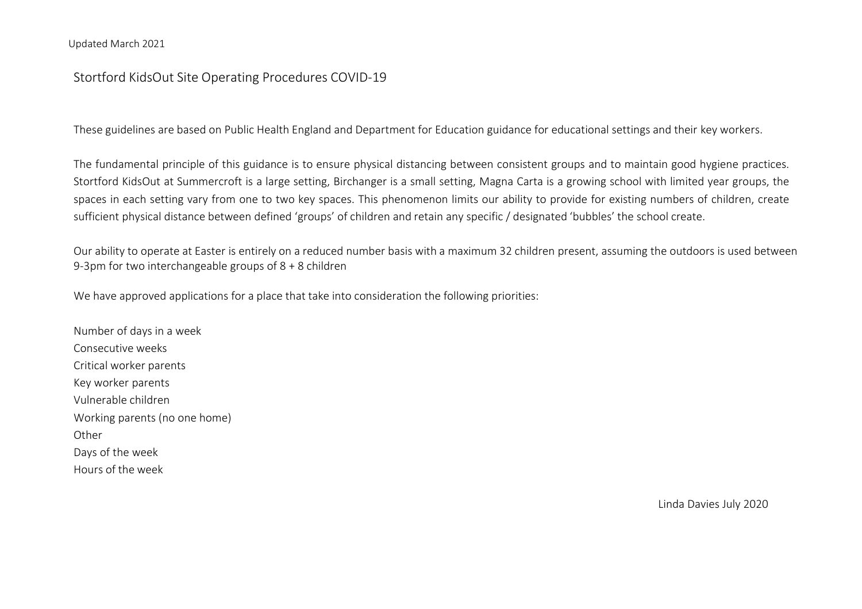# Stortford KidsOut Site Operating Procedures COVID-19

These guidelines are based on Public Health England and Department for Education guidance for educational settings and their key workers.

The fundamental principle of this guidance is to ensure physical distancing between consistent groups and to maintain good hygiene practices. Stortford KidsOut at Summercroft is a large setting, Birchanger is a small setting, Magna Carta is a growing school with limited year groups, the spaces in each setting vary from one to two key spaces. This phenomenon limits our ability to provide for existing numbers of children, create sufficient physical distance between defined 'groups' of children and retain any specific / designated 'bubbles' the school create.

Our ability to operate at Easter is entirely on a reduced number basis with a maximum 32 children present, assuming the outdoors is used between 9-3pm for two interchangeable groups of 8 + 8 children

We have approved applications for a place that take into consideration the following priorities:

Number of days in a week Consecutive weeks Critical worker parents Key worker parents Vulnerable children Working parents (no one home) **Other** Days of the week Hours of the week

Linda Davies July 2020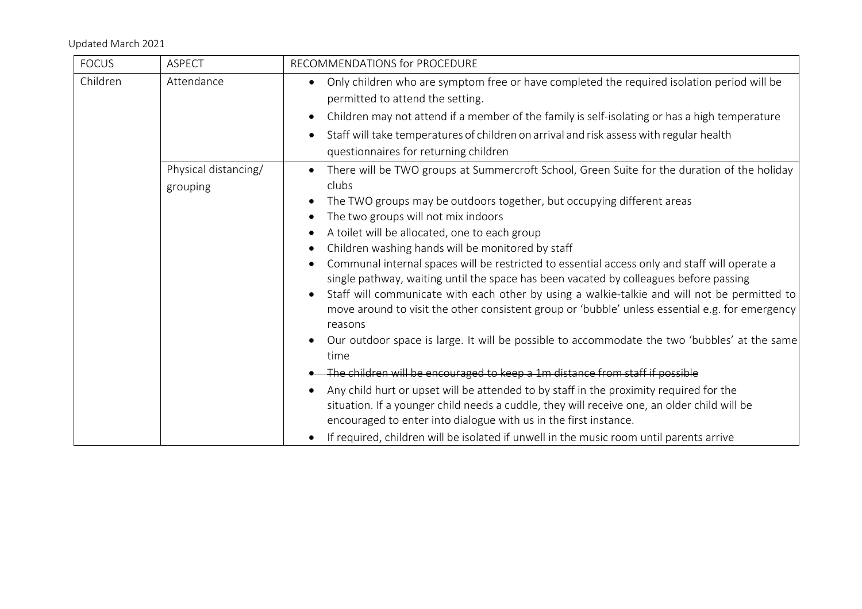| <b>FOCUS</b> | <b>ASPECT</b>                    | RECOMMENDATIONS for PROCEDURE                                                                                                                                                                                                                                                                                                                                                                                                                                                                                                                                                                                                                                                                                                                                                                                                                                                                                                                                                                                                                                                                                                                                                                                                   |
|--------------|----------------------------------|---------------------------------------------------------------------------------------------------------------------------------------------------------------------------------------------------------------------------------------------------------------------------------------------------------------------------------------------------------------------------------------------------------------------------------------------------------------------------------------------------------------------------------------------------------------------------------------------------------------------------------------------------------------------------------------------------------------------------------------------------------------------------------------------------------------------------------------------------------------------------------------------------------------------------------------------------------------------------------------------------------------------------------------------------------------------------------------------------------------------------------------------------------------------------------------------------------------------------------|
| Children     | Attendance                       | Only children who are symptom free or have completed the required isolation period will be<br>$\bullet$<br>permitted to attend the setting.<br>Children may not attend if a member of the family is self-isolating or has a high temperature<br>$\bullet$                                                                                                                                                                                                                                                                                                                                                                                                                                                                                                                                                                                                                                                                                                                                                                                                                                                                                                                                                                       |
|              |                                  | Staff will take temperatures of children on arrival and risk assess with regular health<br>$\bullet$<br>questionnaires for returning children                                                                                                                                                                                                                                                                                                                                                                                                                                                                                                                                                                                                                                                                                                                                                                                                                                                                                                                                                                                                                                                                                   |
|              | Physical distancing/<br>grouping | There will be TWO groups at Summercroft School, Green Suite for the duration of the holiday<br>$\bullet$<br>clubs<br>The TWO groups may be outdoors together, but occupying different areas<br>$\bullet$<br>The two groups will not mix indoors<br>A toilet will be allocated, one to each group<br>Children washing hands will be monitored by staff<br>$\bullet$<br>Communal internal spaces will be restricted to essential access only and staff will operate a<br>single pathway, waiting until the space has been vacated by colleagues before passing<br>Staff will communicate with each other by using a walkie-talkie and will not be permitted to<br>move around to visit the other consistent group or 'bubble' unless essential e.g. for emergency<br>reasons<br>Our outdoor space is large. It will be possible to accommodate the two 'bubbles' at the same<br>time<br>The children will be encouraged to keep a 1m distance from staff if possible<br>Any child hurt or upset will be attended to by staff in the proximity required for the<br>situation. If a younger child needs a cuddle, they will receive one, an older child will be<br>encouraged to enter into dialogue with us in the first instance. |
|              |                                  | If required, children will be isolated if unwell in the music room until parents arrive<br>$\bullet$                                                                                                                                                                                                                                                                                                                                                                                                                                                                                                                                                                                                                                                                                                                                                                                                                                                                                                                                                                                                                                                                                                                            |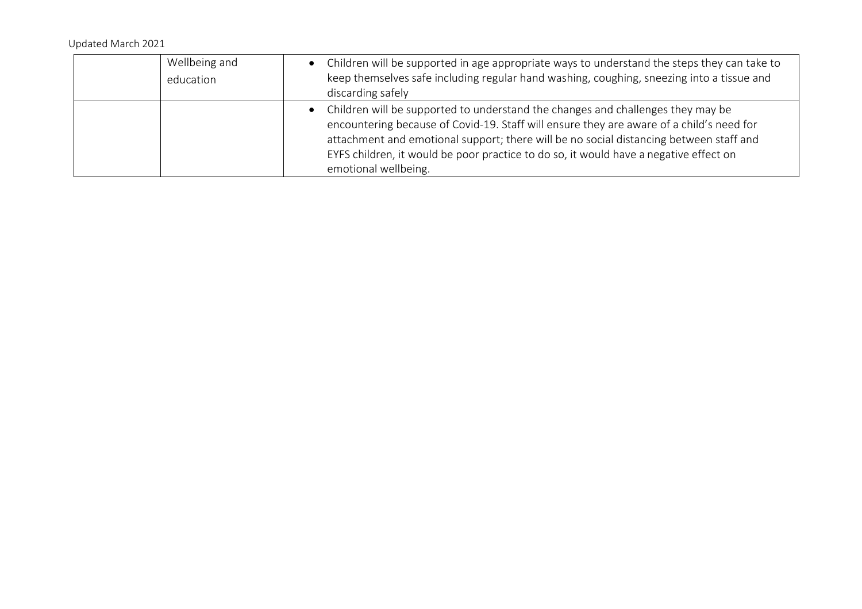| Wellbeing and<br>education | • Children will be supported in age appropriate ways to understand the steps they can take to<br>keep themselves safe including regular hand washing, coughing, sneezing into a tissue and<br>discarding safely                                                                                                                                                                          |
|----------------------------|------------------------------------------------------------------------------------------------------------------------------------------------------------------------------------------------------------------------------------------------------------------------------------------------------------------------------------------------------------------------------------------|
|                            | • Children will be supported to understand the changes and challenges they may be<br>encountering because of Covid-19. Staff will ensure they are aware of a child's need for<br>attachment and emotional support; there will be no social distancing between staff and<br>EYFS children, it would be poor practice to do so, it would have a negative effect on<br>emotional wellbeing. |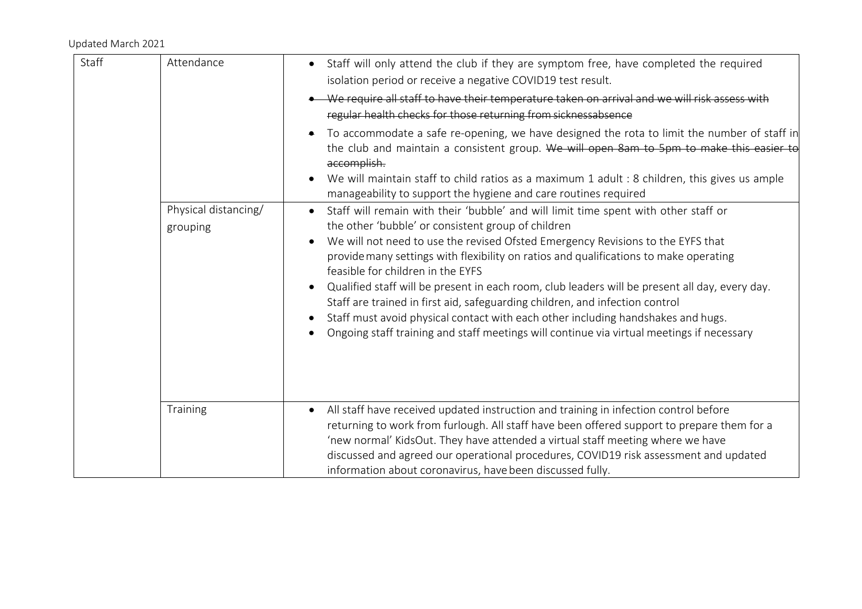| Staff | Attendance                       | Staff will only attend the club if they are symptom free, have completed the required<br>$\bullet$<br>isolation period or receive a negative COVID19 test result.                                                                                                                                                                                                                                                                                                                                                                                                                                                                                                                                                                          |
|-------|----------------------------------|--------------------------------------------------------------------------------------------------------------------------------------------------------------------------------------------------------------------------------------------------------------------------------------------------------------------------------------------------------------------------------------------------------------------------------------------------------------------------------------------------------------------------------------------------------------------------------------------------------------------------------------------------------------------------------------------------------------------------------------------|
|       |                                  | We require all staff to have their temperature taken on arrival and we will risk assess with                                                                                                                                                                                                                                                                                                                                                                                                                                                                                                                                                                                                                                               |
|       |                                  | regular health checks for those returning from sicknessabsence                                                                                                                                                                                                                                                                                                                                                                                                                                                                                                                                                                                                                                                                             |
|       |                                  | To accommodate a safe re-opening, we have designed the rota to limit the number of staff in<br>the club and maintain a consistent group. We will open 8am to 5pm to make this easier to<br>accomplish.<br>We will maintain staff to child ratios as a maximum 1 adult : 8 children, this gives us ample                                                                                                                                                                                                                                                                                                                                                                                                                                    |
|       |                                  | manageability to support the hygiene and care routines required                                                                                                                                                                                                                                                                                                                                                                                                                                                                                                                                                                                                                                                                            |
|       | Physical distancing/<br>grouping | Staff will remain with their 'bubble' and will limit time spent with other staff or<br>$\bullet$<br>the other 'bubble' or consistent group of children<br>We will not need to use the revised Ofsted Emergency Revisions to the EYFS that<br>provide many settings with flexibility on ratios and qualifications to make operating<br>feasible for children in the EYFS<br>Qualified staff will be present in each room, club leaders will be present all day, every day.<br>Staff are trained in first aid, safeguarding children, and infection control<br>Staff must avoid physical contact with each other including handshakes and hugs.<br>Ongoing staff training and staff meetings will continue via virtual meetings if necessary |
|       | Training                         | All staff have received updated instruction and training in infection control before<br>$\bullet$<br>returning to work from furlough. All staff have been offered support to prepare them for a<br>'new normal' KidsOut. They have attended a virtual staff meeting where we have<br>discussed and agreed our operational procedures, COVID19 risk assessment and updated<br>information about coronavirus, have been discussed fully.                                                                                                                                                                                                                                                                                                     |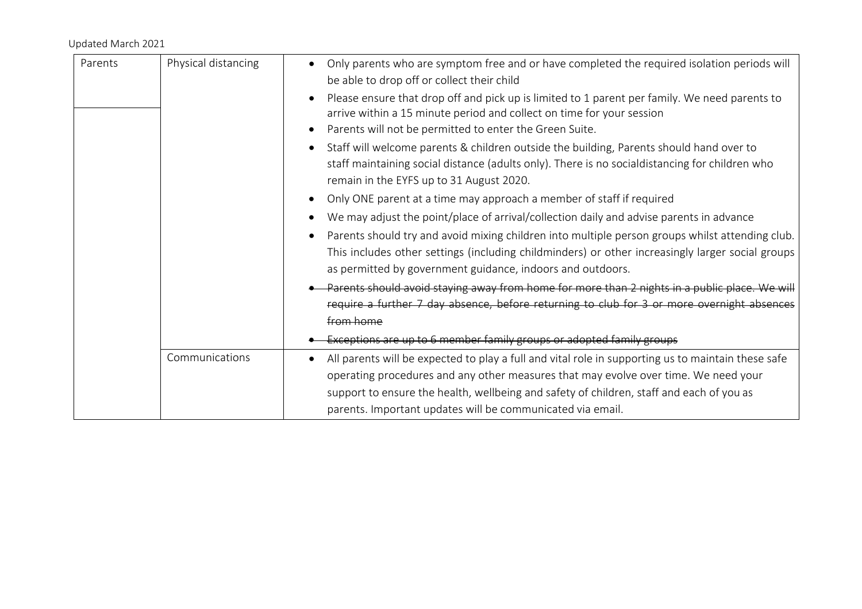| Parents | Physical distancing | Only parents who are symptom free and or have completed the required isolation periods will<br>be able to drop off or collect their child                                                                                                                                                                                                                        |
|---------|---------------------|------------------------------------------------------------------------------------------------------------------------------------------------------------------------------------------------------------------------------------------------------------------------------------------------------------------------------------------------------------------|
|         |                     | Please ensure that drop off and pick up is limited to 1 parent per family. We need parents to<br>$\bullet$<br>arrive within a 15 minute period and collect on time for your session<br>Parents will not be permitted to enter the Green Suite.                                                                                                                   |
|         |                     | Staff will welcome parents & children outside the building, Parents should hand over to<br>staff maintaining social distance (adults only). There is no socialdistancing for children who<br>remain in the EYFS up to 31 August 2020.                                                                                                                            |
|         |                     | Only ONE parent at a time may approach a member of staff if required<br>$\bullet$                                                                                                                                                                                                                                                                                |
|         |                     | We may adjust the point/place of arrival/collection daily and advise parents in advance                                                                                                                                                                                                                                                                          |
|         |                     | Parents should try and avoid mixing children into multiple person groups whilst attending club.<br>This includes other settings (including childminders) or other increasingly larger social groups<br>as permitted by government guidance, indoors and outdoors.                                                                                                |
|         |                     | Parents should avoid staying away from home for more than 2 nights in a public place. We will<br>require a further 7 day absence, before returning to club for 3 or more overnight absences                                                                                                                                                                      |
|         |                     | from home                                                                                                                                                                                                                                                                                                                                                        |
|         |                     | Exceptions are up to 6 member family groups or adopted family groups                                                                                                                                                                                                                                                                                             |
|         | Communications      | All parents will be expected to play a full and vital role in supporting us to maintain these safe<br>$\bullet$<br>operating procedures and any other measures that may evolve over time. We need your<br>support to ensure the health, wellbeing and safety of children, staff and each of you as<br>parents. Important updates will be communicated via email. |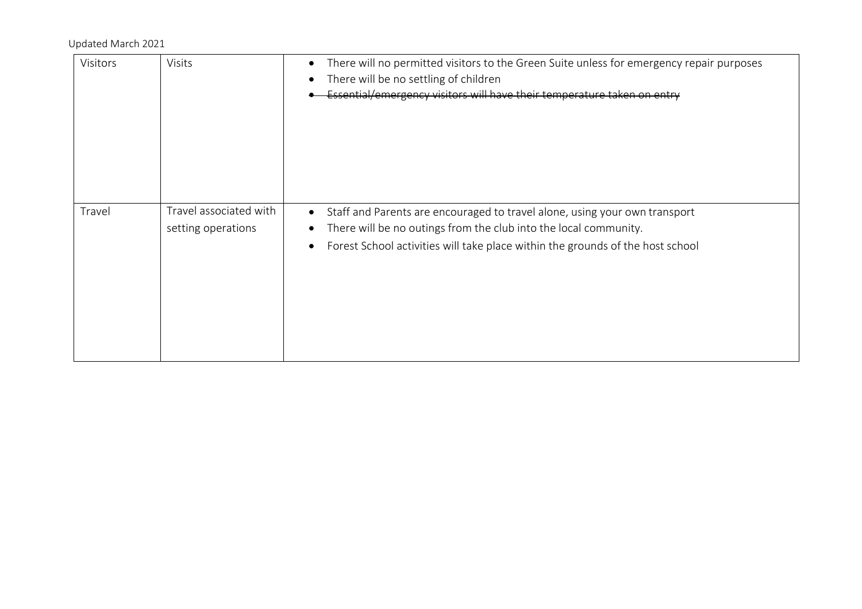| Visitors | <b>Visits</b>                                | There will no permitted visitors to the Green Suite unless for emergency repair purposes<br>$\bullet$<br>There will be no settling of children<br>Essential/emergency visitors will have their temperature taken on entry                                  |
|----------|----------------------------------------------|------------------------------------------------------------------------------------------------------------------------------------------------------------------------------------------------------------------------------------------------------------|
| Travel   | Travel associated with<br>setting operations | Staff and Parents are encouraged to travel alone, using your own transport<br>$\bullet$<br>There will be no outings from the club into the local community.<br>Forest School activities will take place within the grounds of the host school<br>$\bullet$ |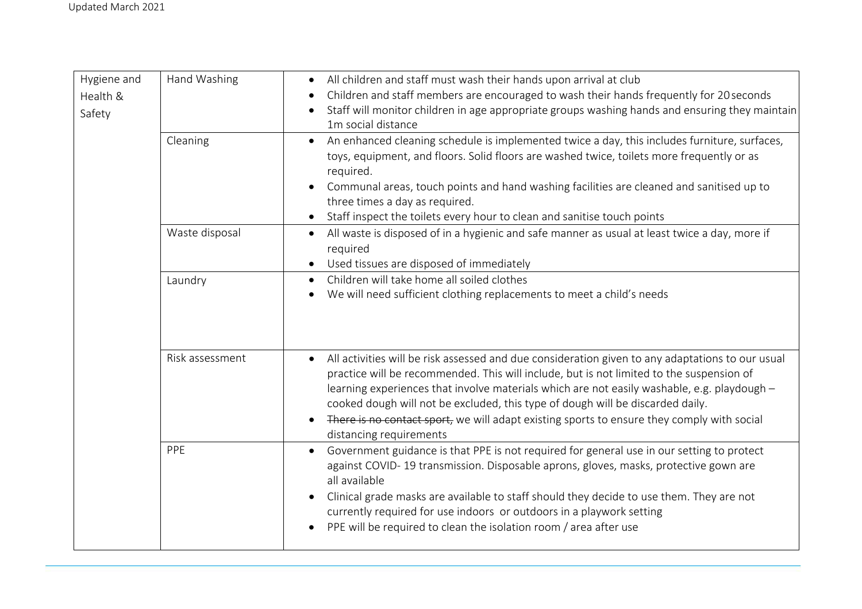| Hygiene and | Hand Washing    | All children and staff must wash their hands upon arrival at club<br>$\bullet$                                |
|-------------|-----------------|---------------------------------------------------------------------------------------------------------------|
| Health &    |                 | Children and staff members are encouraged to wash their hands frequently for 20 seconds                       |
| Safety      |                 | Staff will monitor children in age appropriate groups washing hands and ensuring they maintain                |
|             |                 | 1m social distance                                                                                            |
|             | Cleaning        | An enhanced cleaning schedule is implemented twice a day, this includes furniture, surfaces,                  |
|             |                 | toys, equipment, and floors. Solid floors are washed twice, toilets more frequently or as                     |
|             |                 | required.                                                                                                     |
|             |                 | Communal areas, touch points and hand washing facilities are cleaned and sanitised up to                      |
|             |                 | three times a day as required.                                                                                |
|             |                 | Staff inspect the toilets every hour to clean and sanitise touch points                                       |
|             | Waste disposal  | All waste is disposed of in a hygienic and safe manner as usual at least twice a day, more if<br>$\bullet$    |
|             |                 | required                                                                                                      |
|             |                 | Used tissues are disposed of immediately                                                                      |
|             | Laundry         | Children will take home all soiled clothes<br>$\bullet$                                                       |
|             |                 | We will need sufficient clothing replacements to meet a child's needs                                         |
|             |                 |                                                                                                               |
|             |                 |                                                                                                               |
|             |                 |                                                                                                               |
|             | Risk assessment | All activities will be risk assessed and due consideration given to any adaptations to our usual<br>$\bullet$ |
|             |                 | practice will be recommended. This will include, but is not limited to the suspension of                      |
|             |                 | learning experiences that involve materials which are not easily washable, e.g. playdough -                   |
|             |                 | cooked dough will not be excluded, this type of dough will be discarded daily.                                |
|             |                 | There is no contact sport, we will adapt existing sports to ensure they comply with social                    |
|             |                 | distancing requirements                                                                                       |
|             | PPE             | Government guidance is that PPE is not required for general use in our setting to protect<br>$\bullet$        |
|             |                 | against COVID-19 transmission. Disposable aprons, gloves, masks, protective gown are                          |
|             |                 | all available                                                                                                 |
|             |                 | Clinical grade masks are available to staff should they decide to use them. They are not                      |
|             |                 | currently required for use indoors or outdoors in a playwork setting                                          |
|             |                 | PPE will be required to clean the isolation room / area after use                                             |
|             |                 |                                                                                                               |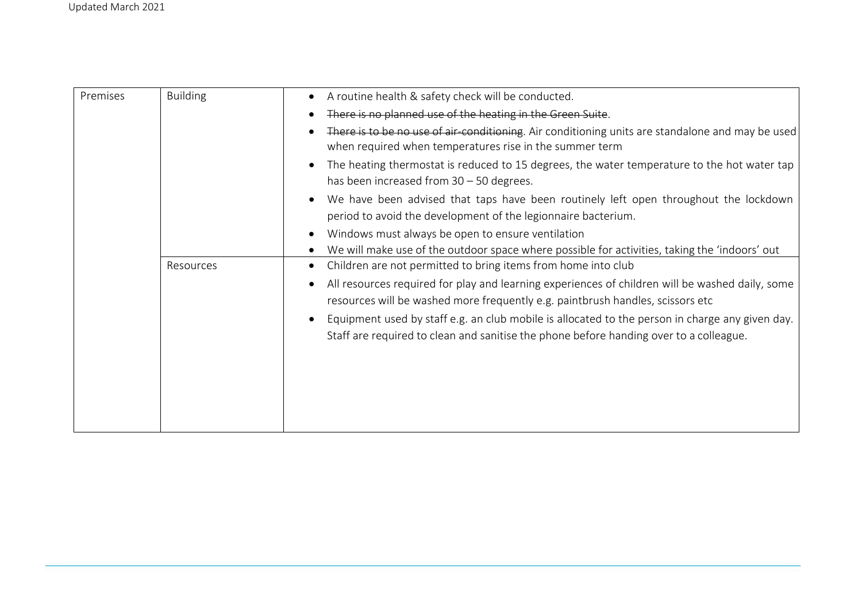| Premises | <b>Building</b> | A routine health & safety check will be conducted.                                                                                                                                |
|----------|-----------------|-----------------------------------------------------------------------------------------------------------------------------------------------------------------------------------|
|          |                 | There is no planned use of the heating in the Green Suite.                                                                                                                        |
|          |                 | There is to be no use of air conditioning. Air conditioning units are standalone and may be used<br>when required when temperatures rise in the summer term                       |
|          |                 | The heating thermostat is reduced to 15 degrees, the water temperature to the hot water tap                                                                                       |
|          |                 | has been increased from $30 - 50$ degrees.                                                                                                                                        |
|          |                 | We have been advised that taps have been routinely left open throughout the lockdown                                                                                              |
|          |                 | period to avoid the development of the legionnaire bacterium.                                                                                                                     |
|          |                 | Windows must always be open to ensure ventilation                                                                                                                                 |
|          |                 | We will make use of the outdoor space where possible for activities, taking the 'indoors' out                                                                                     |
|          | Resources       | Children are not permitted to bring items from home into club                                                                                                                     |
|          |                 | All resources required for play and learning experiences of children will be washed daily, some<br>resources will be washed more frequently e.g. paintbrush handles, scissors etc |
|          |                 | Equipment used by staff e.g. an club mobile is allocated to the person in charge any given day.                                                                                   |
|          |                 | Staff are required to clean and sanitise the phone before handing over to a colleague.                                                                                            |
|          |                 |                                                                                                                                                                                   |
|          |                 |                                                                                                                                                                                   |
|          |                 |                                                                                                                                                                                   |
|          |                 |                                                                                                                                                                                   |
|          |                 |                                                                                                                                                                                   |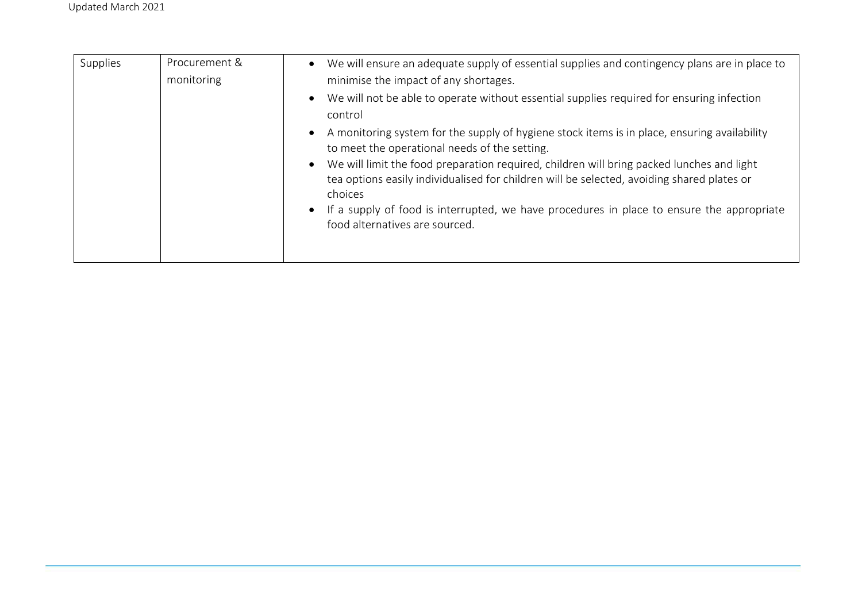| Supplies | Procurement &<br>monitoring | We will ensure an adequate supply of essential supplies and contingency plans are in place to<br>$\bullet$<br>minimise the impact of any shortages.                                                             |
|----------|-----------------------------|-----------------------------------------------------------------------------------------------------------------------------------------------------------------------------------------------------------------|
|          |                             | We will not be able to operate without essential supplies required for ensuring infection<br>$\bullet$<br>control                                                                                               |
|          |                             | A monitoring system for the supply of hygiene stock items is in place, ensuring availability<br>$\bullet$<br>to meet the operational needs of the setting.                                                      |
|          |                             | We will limit the food preparation required, children will bring packed lunches and light<br>$\bullet$<br>tea options easily individualised for children will be selected, avoiding shared plates or<br>choices |
|          |                             | If a supply of food is interrupted, we have procedures in place to ensure the appropriate<br>$\bullet$<br>food alternatives are sourced.                                                                        |